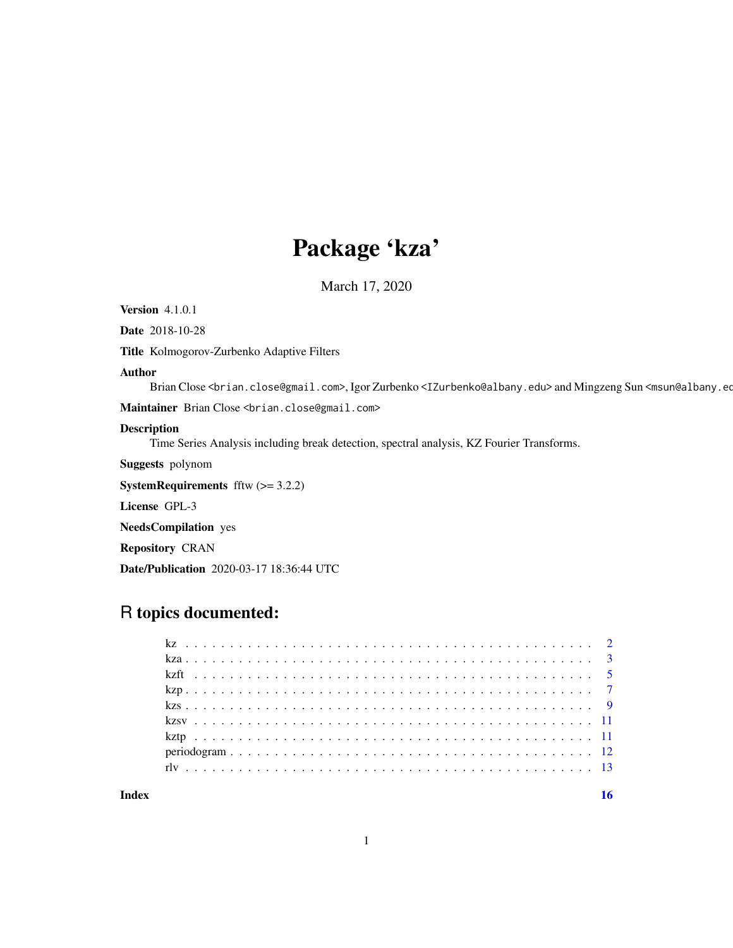## Package 'kza'

March 17, 2020

Version 4.1.0.1

Date 2018-10-28

Title Kolmogorov-Zurbenko Adaptive Filters

#### Author

Brian Close <brian.close@gmail.com>, Igor Zurbenko <IZurbenko@albany.edu> and Mingzeng Sun <msun@albany.edu>

Maintainer Brian Close <br ian.close@gmail.com>

## Description

Time Series Analysis including break detection, spectral analysis, KZ Fourier Transforms.

Suggests polynom

**SystemRequirements** fftw  $(>= 3.2.2)$ 

License GPL-3

NeedsCompilation yes

Repository CRAN

Date/Publication 2020-03-17 18:36:44 UTC

## R topics documented:

#### **Index** the contract of the contract of the contract of the contract of the contract of the contract of the contract of the contract of the contract of the contract of the contract of the contract of the contract of the co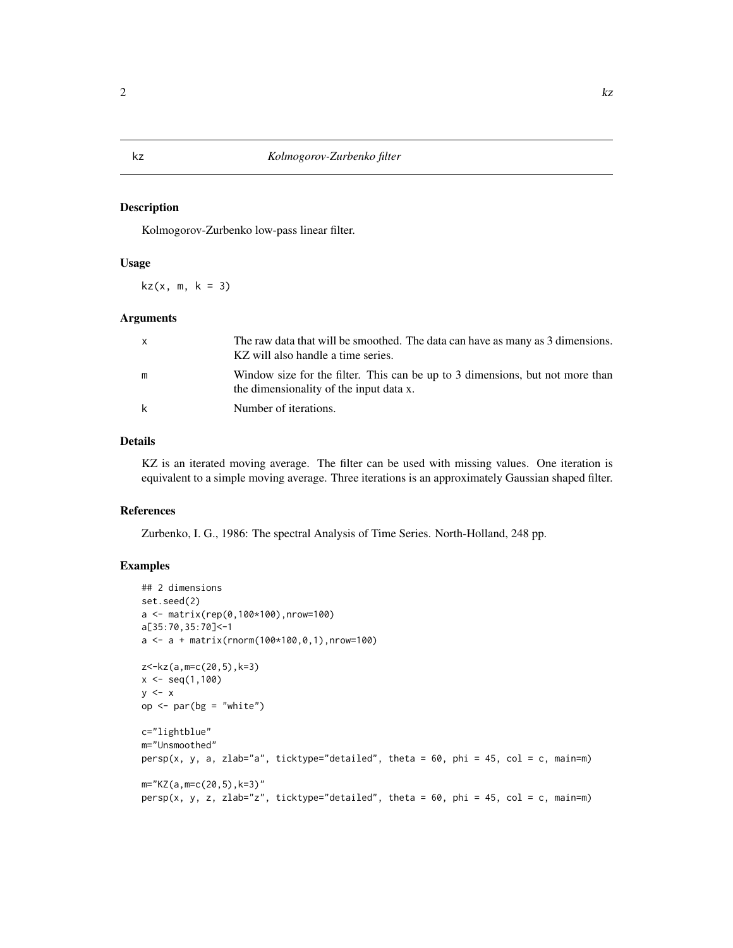#### Description

Kolmogorov-Zurbenko low-pass linear filter.

## Usage

 $kz(x, m, k = 3)$ 

#### Arguments

| $\mathsf{X}$ | The raw data that will be smoothed. The data can have as many as 3 dimensions.<br>KZ will also handle a time series.     |
|--------------|--------------------------------------------------------------------------------------------------------------------------|
| m            | Window size for the filter. This can be up to 3 dimensions, but not more than<br>the dimensionality of the input data x. |
| k            | Number of iterations.                                                                                                    |

## Details

KZ is an iterated moving average. The filter can be used with missing values. One iteration is equivalent to a simple moving average. Three iterations is an approximately Gaussian shaped filter.

## References

Zurbenko, I. G., 1986: The spectral Analysis of Time Series. North-Holland, 248 pp.

```
## 2 dimensions
set.seed(2)
a <- matrix(rep(0,100*100),nrow=100)
a[35:70,35:70]<-1
a \leq -a + \text{matrix}(r \text{norm}(100 \times 100, 0, 1), n \text{row} = 100)z<-kz(a,m=c(20,5),k=3)
x \leq -\text{seq}(1,100)y \leq -xop \leq par(bg = "white")
c="lightblue"
m="Unsmoothed"
persp(x, y, a, zlab=" a", ticktype="detailed", theta = 60, phi = 45, col = c, main=m)
m="KZ(a,m=c(20,5),k=3)"
persp(x, y, z, zlab="z", ticktype="detailed", theta = 60, phi = 45, col = c, main=m)
```
<span id="page-1-0"></span>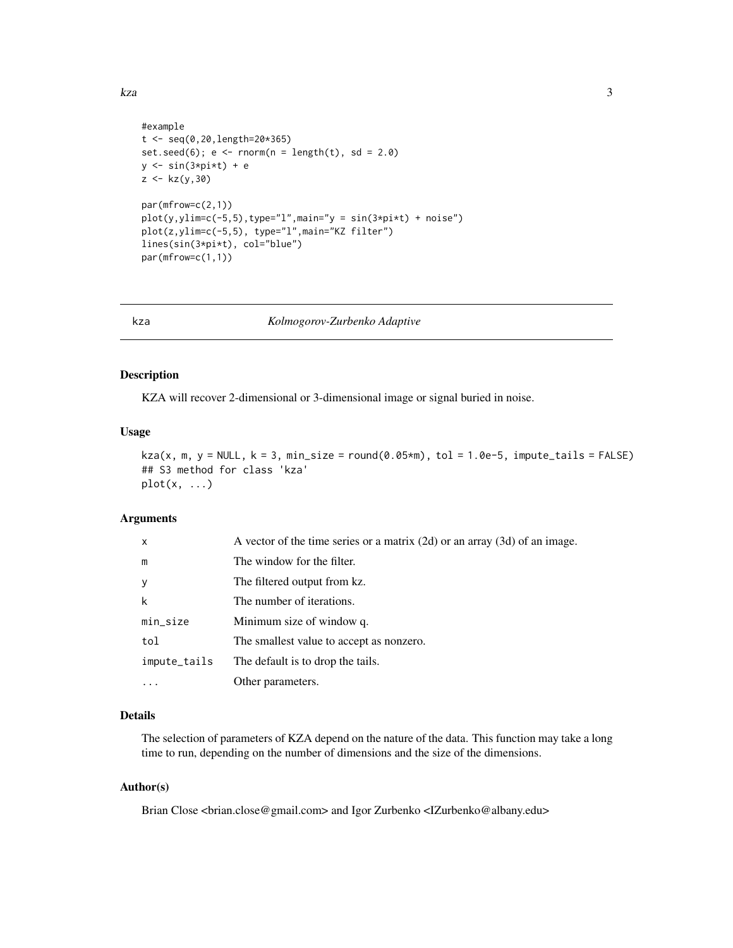```
#example
t <- seq(0,20,length=20*365)
set.seed(6); e \leq -r \text{norm}(n = length(t), sd = 2.0)y \leftarrow \sin(3 \times pi \times t) + ez < -kz(y, 30)par(mfrow=c(2,1))
plot(y, ylim=c(-5, 5), type="1", main="y = sin(3*pi*t) + noise")plot(z,ylim=c(-5,5), type="l",main="KZ filter")
lines(sin(3*pi*t), col="blue")
par(mfrow=c(1,1))
```
kza *Kolmogorov-Zurbenko Adaptive*

## Description

KZA will recover 2-dimensional or 3-dimensional image or signal buried in noise.

#### Usage

```
kza(x, m, y = NULL, k = 3, min\_size = round(0.05*m), tol = 1.0e-5, impute\_tails = FALSE)## S3 method for class 'kza'
plot(x, \ldots)
```
#### Arguments

| $\mathsf{x}$ | A vector of the time series or a matrix $(2d)$ or an array $(3d)$ of an image. |
|--------------|--------------------------------------------------------------------------------|
| m            | The window for the filter.                                                     |
| $\mathbf{y}$ | The filtered output from kz.                                                   |
| k            | The number of iterations.                                                      |
| min_size     | Minimum size of window q.                                                      |
| tol          | The smallest value to accept as nonzero.                                       |
| impute_tails | The default is to drop the tails.                                              |
|              | Other parameters.                                                              |

## Details

The selection of parameters of KZA depend on the nature of the data. This function may take a long time to run, depending on the number of dimensions and the size of the dimensions.

## Author(s)

Brian Close <brian.close@gmail.com> and Igor Zurbenko <IZurbenko@albany.edu>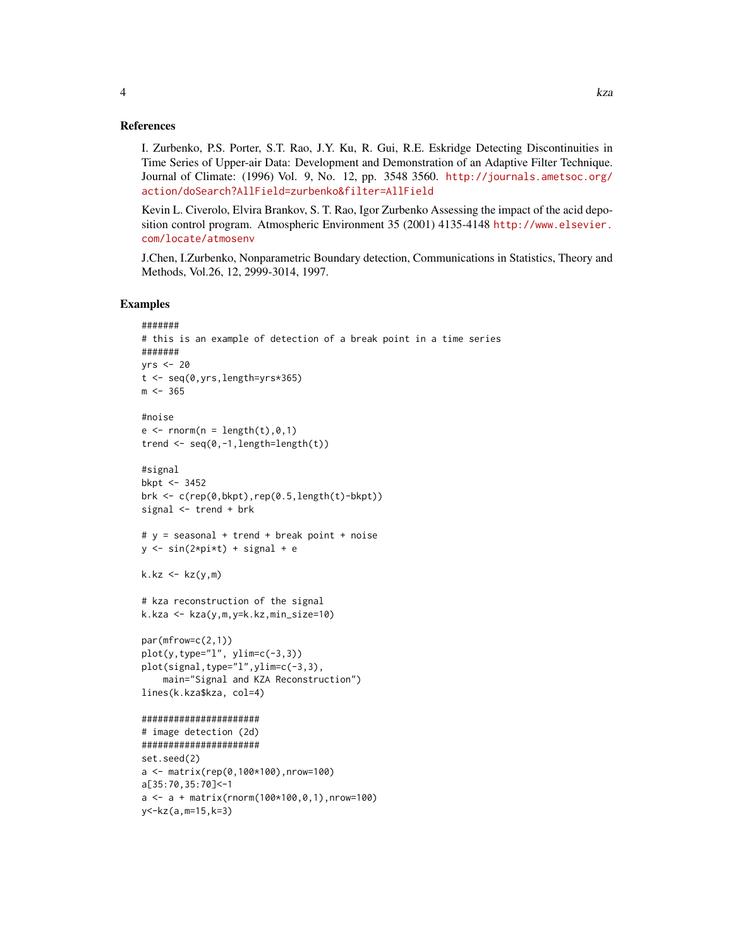#### References

I. Zurbenko, P.S. Porter, S.T. Rao, J.Y. Ku, R. Gui, R.E. Eskridge Detecting Discontinuities in Time Series of Upper-air Data: Development and Demonstration of an Adaptive Filter Technique. Journal of Climate: (1996) Vol. 9, No. 12, pp. 3548 3560. [http://journals.ametsoc.org/](http://journals.ametsoc.org/action/doSearch?AllField=zurbenko&filter=AllField) [action/doSearch?AllField=zurbenko&filter=AllField](http://journals.ametsoc.org/action/doSearch?AllField=zurbenko&filter=AllField)

Kevin L. Civerolo, Elvira Brankov, S. T. Rao, Igor Zurbenko Assessing the impact of the acid deposition control program. Atmospheric Environment 35 (2001) 4135-4148 [http://www.elsevier.](http://www.elsevier.com/locate/atmosenv) [com/locate/atmosenv](http://www.elsevier.com/locate/atmosenv)

J.Chen, I.Zurbenko, Nonparametric Boundary detection, Communications in Statistics, Theory and Methods, Vol.26, 12, 2999-3014, 1997.

```
#######
# this is an example of detection of a break point in a time series
#######
yrs <- 20
t <- seq(0,yrs,length=yrs*365)
m < -365#noise
e \le - rnorm(n = length(t),0,1)
trend \leq seq(0,-1, length=length(t))
#signal
bkpt <- 3452
brk \leq c(rep(0,bkpt),rep(0.5,length(t)-bkpt))
signal <- trend + brk
# y = seasonal + trend + break point + noise
y \le -\sin(2 \times \pi) + \sin(\pi) + \sin(\pi)k.kz \leq kz(y,m)# kza reconstruction of the signal
k.kza <- kza(y,m,y=k.kz,min_size=10)
par(mfrow=c(2,1))
plot(y, type="1", ylim=c(-3,3))plot(signal,type="l",ylim=c(-3,3),
    main="Signal and KZA Reconstruction")
lines(k.kza$kza, col=4)
######################
# image detection (2d)
######################
set.seed(2)
a <- matrix(rep(0,100*100),nrow=100)
a[35:70,35:70]<-1
a \leq a + \text{matrix}(r \text{norm}(100*100, 0, 1), n \text{row}=100)y<-kz(a,m=15,k=3)
```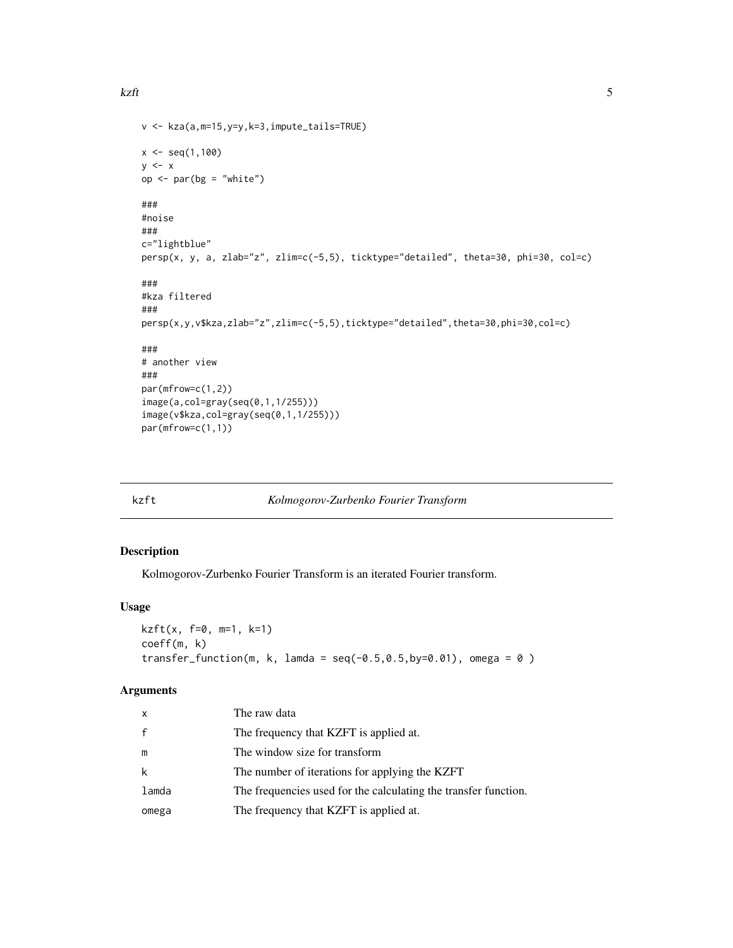#### <span id="page-4-0"></span>kzft 5

```
v <- kza(a,m=15,y=y,k=3,impute_tails=TRUE)
x \leq - seq(1,100)
y \leq -xop \leq - par(bg = "white")
###
#noise
###
c="lightblue"
persp(x, y, a, zlab="z", zlim=c(-5,5), ticktype="detailed", theta=30, phi=30, col=c)
###
#kza filtered
###
persp(x,y,v$kza,zlab="z",zlim=c(-5,5),ticktype="detailed",theta=30,phi=30,col=c)
###
# another view
###
par(mfrow=c(1,2))
image(a,col=gray(seq(0,1,1/255)))
image(v$kza,col=gray(seq(0,1,1/255)))
par(mfrow=c(1,1))
```
<span id="page-4-1"></span>

## kzft *Kolmogorov-Zurbenko Fourier Transform*

## Description

Kolmogorov-Zurbenko Fourier Transform is an iterated Fourier transform.

## Usage

```
kzft(x, f=0, m=1, k=1)coeff(m, k)
transfer_function(m, k, lamda = seq(-0.5, 0.5, by=0.01), omega = 0)
```
## Arguments

| x     | The raw data                                                    |
|-------|-----------------------------------------------------------------|
| f     | The frequency that KZFT is applied at.                          |
| m     | The window size for transform                                   |
| k     | The number of iterations for applying the KZFT                  |
| lamda | The frequencies used for the calculating the transfer function. |
| omega | The frequency that KZFT is applied at.                          |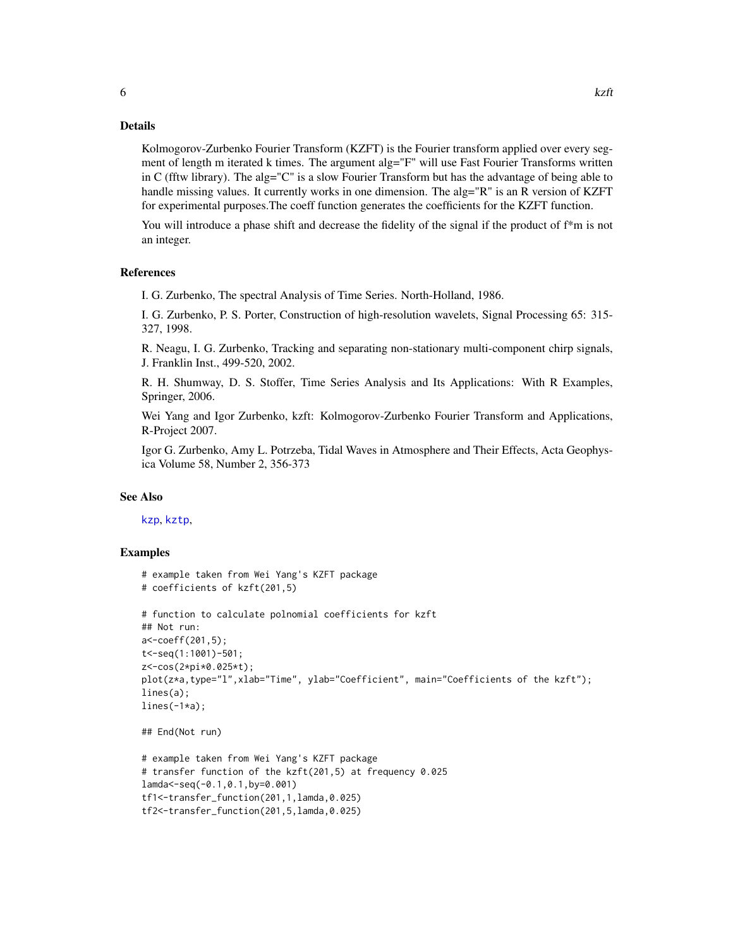<span id="page-5-0"></span>Kolmogorov-Zurbenko Fourier Transform (KZFT) is the Fourier transform applied over every segment of length m iterated k times. The argument alg="F" will use Fast Fourier Transforms written in C (fftw library). The alg="C" is a slow Fourier Transform but has the advantage of being able to handle missing values. It currently works in one dimension. The alg="R" is an R version of KZFT for experimental purposes.The coeff function generates the coefficients for the KZFT function.

You will introduce a phase shift and decrease the fidelity of the signal if the product of f\*m is not an integer.

#### References

I. G. Zurbenko, The spectral Analysis of Time Series. North-Holland, 1986.

I. G. Zurbenko, P. S. Porter, Construction of high-resolution wavelets, Signal Processing 65: 315- 327, 1998.

R. Neagu, I. G. Zurbenko, Tracking and separating non-stationary multi-component chirp signals, J. Franklin Inst., 499-520, 2002.

R. H. Shumway, D. S. Stoffer, Time Series Analysis and Its Applications: With R Examples, Springer, 2006.

Wei Yang and Igor Zurbenko, kzft: Kolmogorov-Zurbenko Fourier Transform and Applications, R-Project 2007.

Igor G. Zurbenko, Amy L. Potrzeba, Tidal Waves in Atmosphere and Their Effects, Acta Geophysica Volume 58, Number 2, 356-373

#### See Also

[kzp](#page-6-1), [kztp](#page-10-1),

```
# example taken from Wei Yang's KZFT package
# coefficients of kzft(201,5)
# function to calculate polnomial coefficients for kzft
## Not run:
a<-coeff(201,5);
t<-seq(1:1001)-501;
z<-cos(2*pi*0.025*t);
plot(z*a,type="l",xlab="Time", ylab="Coefficient", main="Coefficients of the kzft");
lines(a);
lines(-1*a);## End(Not run)
# example taken from Wei Yang's KZFT package
# transfer function of the kzft(201,5) at frequency 0.025
lamda<-seq(-0.1,0.1,by=0.001)
tf1<-transfer_function(201,1,lamda,0.025)
tf2<-transfer_function(201,5,lamda,0.025)
```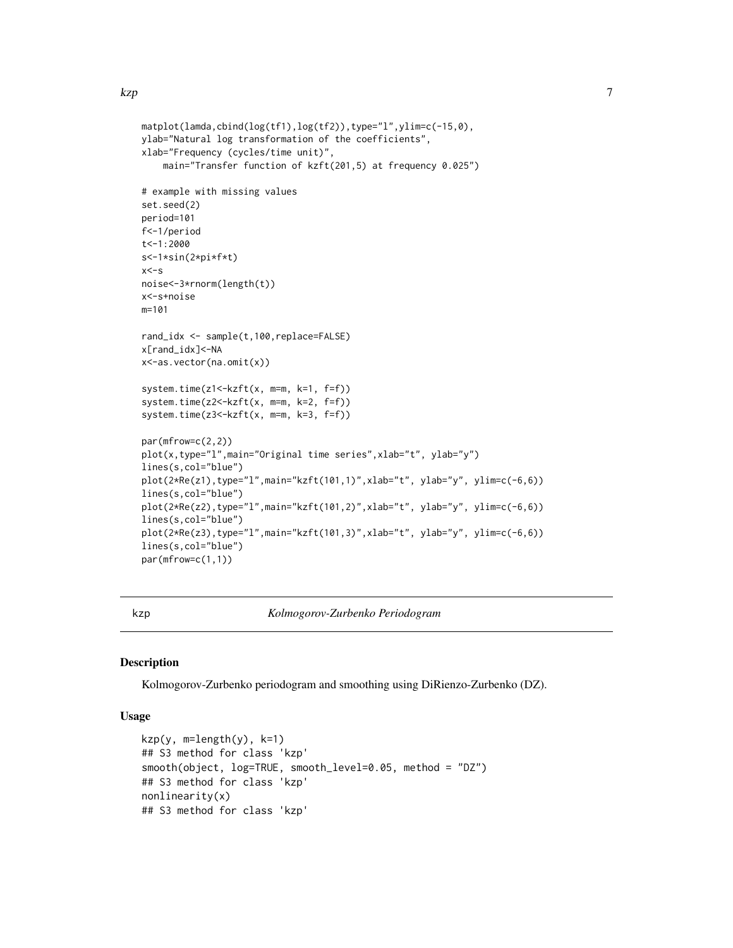<span id="page-6-0"></span>kzp i veden a strong veden andre strong veden af den strong veden af den strong veden af den strong veden af d

```
matplot(lamda,cbind(log(tf1),log(tf2)),type="l",ylim=c(-15,0),
ylab="Natural log transformation of the coefficients",
xlab="Frequency (cycles/time unit)",
    main="Transfer function of kzft(201,5) at frequency 0.025")
# example with missing values
set.seed(2)
period=101
f<-1/period
t<-1:2000
s<-1*sin(2*pi*f*t)
x < -snoise<-3*rnorm(length(t))
x<-s+noise
m=101
rand_idx <- sample(t,100,replace=FALSE)
x[rand_idx]<-NA
x<-as.vector(na.omit(x))
system.time(z1<-kzft(x, m=m, k=1, f=f))
system.time(z2<-kzft(x, m=m, k=2, f=f))
system.time(z3<-kzft(x, m=m, k=3, f=f))
par(mfrow=c(2,2))
plot(x,type="l",main="Original time series", xlab="t", ylab="y")
lines(s,col="blue")
plot(2*Re(z1),type="l",main="kzft(101,1)",xlab="t", ylab="y", ylim=c(-6,6))
lines(s,col="blue")
plot(2*Re(z2),type="l",main="kzft(101,2)",xlab="t", ylab="y", ylim=c(-6,6))
lines(s,col="blue")
plot(2*Re(z3),type="l",main="kzft(101,3)",xlab="t", ylab="y", ylim=c(-6,6))
lines(s,col="blue")
par(mfrow=c(1,1))
```
<span id="page-6-1"></span>

kzp *Kolmogorov-Zurbenko Periodogram*

#### Description

Kolmogorov-Zurbenko periodogram and smoothing using DiRienzo-Zurbenko (DZ).

## Usage

```
kzp(y, m=length(y), k=1)## S3 method for class 'kzp'
smooth(object, log=TRUE, smooth_level=0.05, method = "DZ")
## S3 method for class 'kzp'
nonlinearity(x)
## S3 method for class 'kzp'
```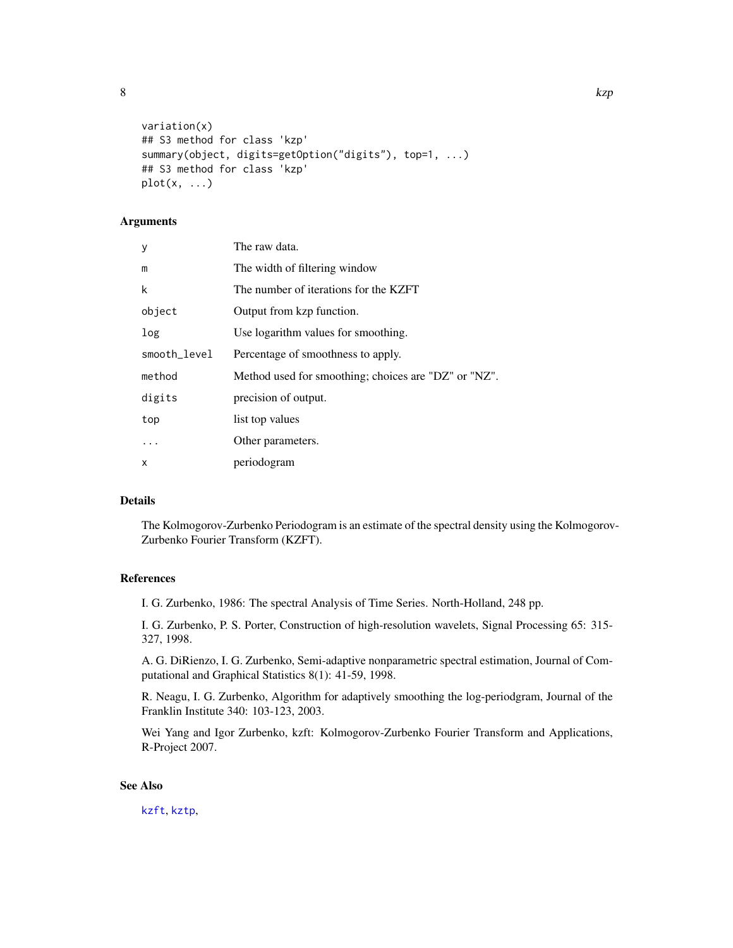<span id="page-7-0"></span>

```
variation(x)
## S3 method for class 'kzp'
summary(object, digits=getOption("digits"), top=1, ...)
## S3 method for class 'kzp'
plot(x, \ldots)
```
## **Arguments**

| У            | The raw data.                                        |
|--------------|------------------------------------------------------|
| m            | The width of filtering window                        |
| k            | The number of iterations for the KZFT                |
| object       | Output from kzp function.                            |
| log          | Use logarithm values for smoothing.                  |
| smooth_level | Percentage of smoothness to apply.                   |
| method       | Method used for smoothing; choices are "DZ" or "NZ". |
| digits       | precision of output.                                 |
| top          | list top values                                      |
| $\cdot$      | Other parameters.                                    |
| X            | periodogram                                          |

## Details

The Kolmogorov-Zurbenko Periodogram is an estimate of the spectral density using the Kolmogorov-Zurbenko Fourier Transform (KZFT).

## References

I. G. Zurbenko, 1986: The spectral Analysis of Time Series. North-Holland, 248 pp.

I. G. Zurbenko, P. S. Porter, Construction of high-resolution wavelets, Signal Processing 65: 315- 327, 1998.

A. G. DiRienzo, I. G. Zurbenko, Semi-adaptive nonparametric spectral estimation, Journal of Computational and Graphical Statistics 8(1): 41-59, 1998.

R. Neagu, I. G. Zurbenko, Algorithm for adaptively smoothing the log-periodgram, Journal of the Franklin Institute 340: 103-123, 2003.

Wei Yang and Igor Zurbenko, kzft: Kolmogorov-Zurbenko Fourier Transform and Applications, R-Project 2007.

#### See Also

[kzft](#page-4-1), [kztp](#page-10-1),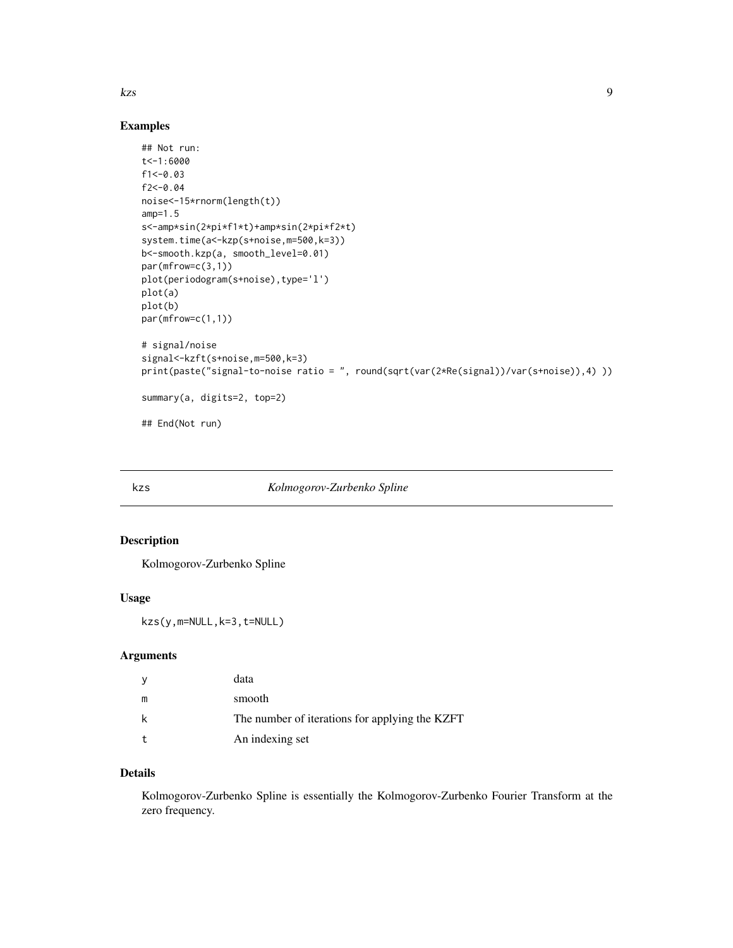<span id="page-8-0"></span> $kzs$  9

## Examples

```
## Not run:
t<-1:6000
f1<-0.03f2<-0.04
noise<-15*rnorm(length(t))
amp=1.5
s<-amp*sin(2*pi*f1*t)+amp*sin(2*pi*f2*t)
system.time(a<-kzp(s+noise,m=500,k=3))
b<-smooth.kzp(a, smooth_level=0.01)
par(mfrow=c(3,1))
plot(periodogram(s+noise),type='l')
plot(a)
plot(b)
par(mfrow=c(1,1))
# signal/noise
signal<-kzft(s+noise,m=500,k=3)
print(paste("signal-to-noise ratio = ", round(sqrt(var(2*Re(signal))/var(s+noise)),4) ))
summary(a, digits=2, top=2)
## End(Not run)
```
#### kzs *Kolmogorov-Zurbenko Spline*

## Description

Kolmogorov-Zurbenko Spline

## Usage

```
kzs(y,m=NULL,k=3,t=NULL)
```
#### Arguments

| <sub>V</sub> | data                                           |
|--------------|------------------------------------------------|
| m            | smooth                                         |
| k            | The number of iterations for applying the KZFT |
|              | An indexing set                                |

## Details

Kolmogorov-Zurbenko Spline is essentially the Kolmogorov-Zurbenko Fourier Transform at the zero frequency.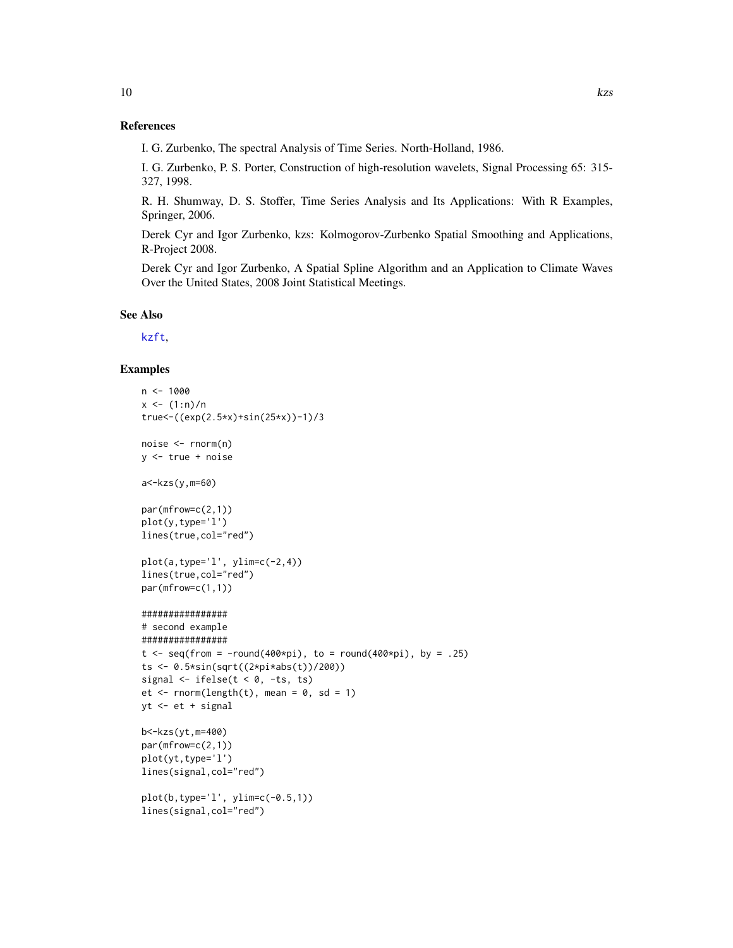<span id="page-9-0"></span>I. G. Zurbenko, The spectral Analysis of Time Series. North-Holland, 1986.

I. G. Zurbenko, P. S. Porter, Construction of high-resolution wavelets, Signal Processing 65: 315- 327, 1998.

R. H. Shumway, D. S. Stoffer, Time Series Analysis and Its Applications: With R Examples, Springer, 2006.

Derek Cyr and Igor Zurbenko, kzs: Kolmogorov-Zurbenko Spatial Smoothing and Applications, R-Project 2008.

Derek Cyr and Igor Zurbenko, A Spatial Spline Algorithm and an Application to Climate Waves Over the United States, 2008 Joint Statistical Meetings.

## See Also

[kzft](#page-4-1),

```
n < -1000x < - (1:n)/n
true<-((exp(2.5*x)+sin(25*x))-1)/3
noise <- rnorm(n)
y <- true + noise
a<-kzs(y,m=60)
par(mfrow=c(2,1))
plot(y,type='l')
lines(true,col="red")
plot(a, type='l', ylim=c(-2, 4))lines(true,col="red")
par(mfrow=c(1,1))
################
# second example
################
t \leq seq(from = -round(400*pi), to = round(400*pi), by = .25)
ts <- 0.5*sin(sqrt((2*pi*abs(t))/200))
signal \leq ifelse(t \leq 0, -ts, ts)
et <- rnorm(length(t), mean = 0, sd = 1)
yt <- et + signal
b<-kzs(yt,m=400)
par(mfrow=c(2,1))
plot(yt,type='l')
lines(signal,col="red")
plot(b,type='l', ylim=c(-0.5,1))
lines(signal,col="red")
```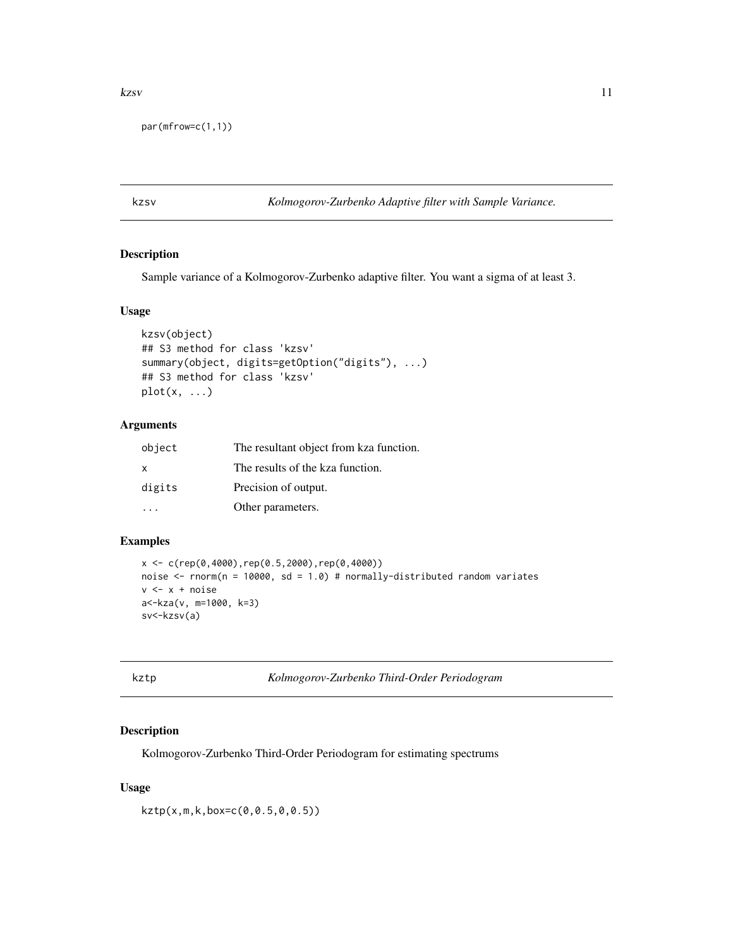#### <span id="page-10-0"></span>kzsv a strandard a strandard a strandard a strandard a strandard a strandard a strandard a strandard a strandard a strandard a strandard a strandard a strandard a strandard a strandard a strandard a strandard a strandard a

par(mfrow=c(1,1))

kzsv *Kolmogorov-Zurbenko Adaptive filter with Sample Variance.*

#### Description

Sample variance of a Kolmogorov-Zurbenko adaptive filter. You want a sigma of at least 3.

## Usage

```
kzsv(object)
## S3 method for class 'kzsv'
summary(object, digits=getOption("digits"), ...)
## S3 method for class 'kzsv'
plot(x, \ldots)
```
## Arguments

| object       | The resultant object from kza function. |
|--------------|-----------------------------------------|
| $\mathsf{x}$ | The results of the kza function.        |
| digits       | Precision of output.                    |
|              | Other parameters.                       |

## Examples

```
x < -c(rep(0,4000),rep(0.5,2000),rep(0,4000))
noise <- rnorm(n = 10000, sd = 1.0) # normally-distributed random variates
v \leq x + noisea<-kza(v, m=1000, k=3)
sv<-kzsv(a)
```
<span id="page-10-1"></span>kztp *Kolmogorov-Zurbenko Third-Order Periodogram*

## Description

Kolmogorov-Zurbenko Third-Order Periodogram for estimating spectrums

## Usage

kztp(x,m,k,box=c(0,0.5,0,0.5))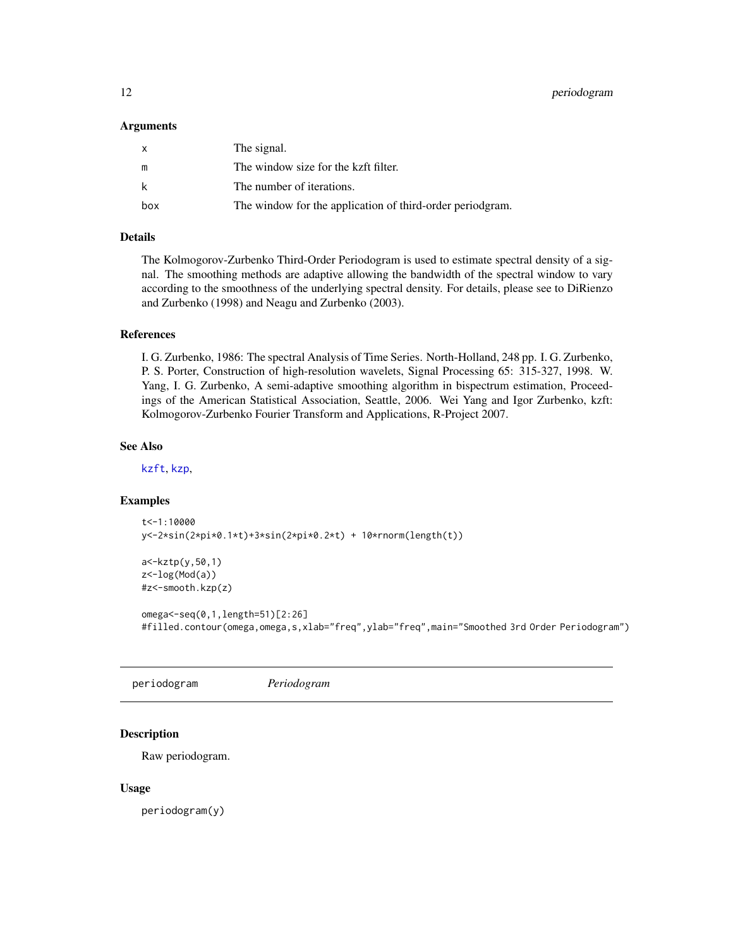#### <span id="page-11-0"></span>Arguments

| $\mathsf{x}$ | The signal.                                               |
|--------------|-----------------------------------------------------------|
| m            | The window size for the kzft filter.                      |
| k            | The number of iterations.                                 |
| box          | The window for the application of third-order periodgram. |

## Details

The Kolmogorov-Zurbenko Third-Order Periodogram is used to estimate spectral density of a signal. The smoothing methods are adaptive allowing the bandwidth of the spectral window to vary according to the smoothness of the underlying spectral density. For details, please see to DiRienzo and Zurbenko (1998) and Neagu and Zurbenko (2003).

#### References

I. G. Zurbenko, 1986: The spectral Analysis of Time Series. North-Holland, 248 pp. I. G. Zurbenko, P. S. Porter, Construction of high-resolution wavelets, Signal Processing 65: 315-327, 1998. W. Yang, I. G. Zurbenko, A semi-adaptive smoothing algorithm in bispectrum estimation, Proceedings of the American Statistical Association, Seattle, 2006. Wei Yang and Igor Zurbenko, kzft: Kolmogorov-Zurbenko Fourier Transform and Applications, R-Project 2007.

#### See Also

[kzft](#page-4-1), [kzp](#page-6-1),

## Examples

```
t<-1:10000
y<-2*sin(2*pi*0.1*t)+3*sin(2*pi*0.2*t) + 10*rnorm(length(t))
```

```
a<-kztp(y,50,1)
z<-log(Mod(a))
#z<-smooth.kzp(z)
```

```
omega<-seq(0,1,length=51)[2:26]
#filled.contour(omega,omega,s,xlab="freq",ylab="freq",main="Smoothed 3rd Order Periodogram")
```
periodogram *Periodogram*

## Description

Raw periodogram.

#### Usage

periodogram(y)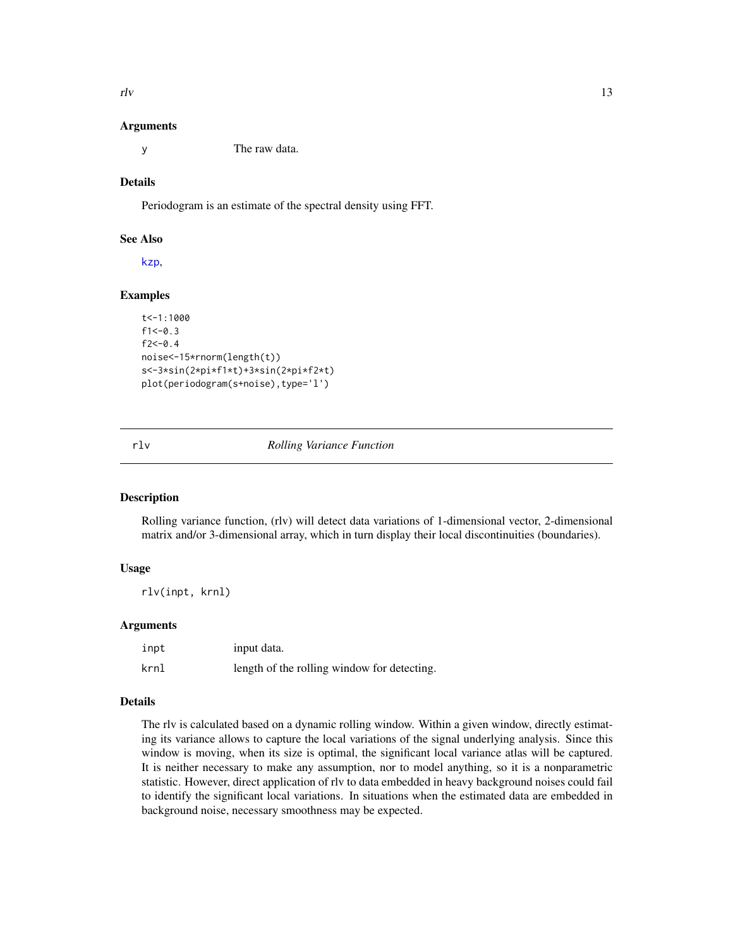<span id="page-12-0"></span> $rlv$  13

#### Arguments

y The raw data.

## Details

Periodogram is an estimate of the spectral density using FFT.

#### See Also

[kzp](#page-6-1),

## Examples

```
t<-1:1000
f1<-0.3f2 < -0.4noise<-15*rnorm(length(t))
s<-3*sin(2*pi*f1*t)+3*sin(2*pi*f2*t)
plot(periodogram(s+noise),type='l')
```
#### rlv *Rolling Variance Function*

#### **Description**

Rolling variance function, (rlv) will detect data variations of 1-dimensional vector, 2-dimensional matrix and/or 3-dimensional array, which in turn display their local discontinuities (boundaries).

## Usage

rlv(inpt, krnl)

## Arguments

| inpt | input data.                                 |
|------|---------------------------------------------|
| krnl | length of the rolling window for detecting. |

## Details

The rlv is calculated based on a dynamic rolling window. Within a given window, directly estimating its variance allows to capture the local variations of the signal underlying analysis. Since this window is moving, when its size is optimal, the significant local variance atlas will be captured. It is neither necessary to make any assumption, nor to model anything, so it is a nonparametric statistic. However, direct application of rlv to data embedded in heavy background noises could fail to identify the significant local variations. In situations when the estimated data are embedded in background noise, necessary smoothness may be expected.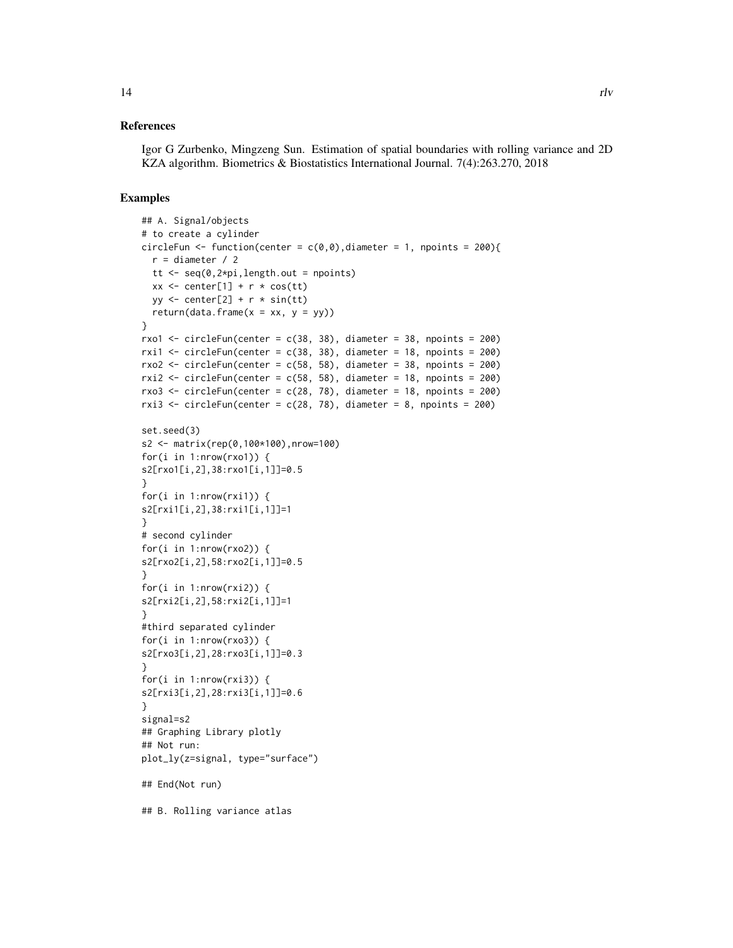#### References

Igor G Zurbenko, Mingzeng Sun. Estimation of spatial boundaries with rolling variance and 2D KZA algorithm. Biometrics & Biostatistics International Journal. 7(4):263.270, 2018

```
## A. Signal/objects
# to create a cylinder
circleFun <- function(center = c(0,0), diameter = 1, npoints = 200){
  r = diameter / 2
  tt \leq seq(0, 2 \times pi, length.out = npoints)
  xx \le center[1] + r * cos(tt)yy \le center[2] + r \star sin(tt)
  return(data.frame(x = xx, y = yy))
}
rxo1 \le circleFun(center = c(38, 38), diameter = 38, npoints = 200)
rxi1 <- circleFun(center = c(38, 38), diameter = 18, npoints = 200)
rxo2 \le circleFun(center = c(58, 58), diameter = 38, npoints = 200)
rxi2 \le circleFun(center = c(58, 58), diameter = 18, npoints = 200)
rxo3 \le circleFun(center = c(28, 78), diameter = 18, npoints = 200)
rxi3 <- circleFun(center = c(28, 78), diameter = 8, npoints = 200)
set.seed(3)
s2 <- matrix(rep(0,100*100),nrow=100)
for(i in 1:nrow(rxo1)) {
s2[rxo1[i,2],38:rxo1[i,1]]=0.5
}
for(i in 1:nrow(rxi1)) {
s2[rxi1[i,2],38:rxi1[i,1]]=1
}
# second cylinder
for(i in 1:nrow(rxo2)) {
s2[rxo2[i,2],58:rxo2[i,1]]=0.5
}
for(i in 1:nrow(rxi2)) {
s2[rxi2[i,2],58:rxi2[i,1]]=1
}
#third separated cylinder
for(i in 1:nrow(rxo3)) {
s2[rxo3[i,2],28:rxo3[i,1]]=0.3
}
for(i in 1:nrow(rxi3)) {
s2[rxi3[i,2],28:rxi3[i,1]]=0.6
}
signal=s2
## Graphing Library plotly
## Not run:
plot_ly(z=signal, type="surface")
## End(Not run)
## B. Rolling variance atlas
```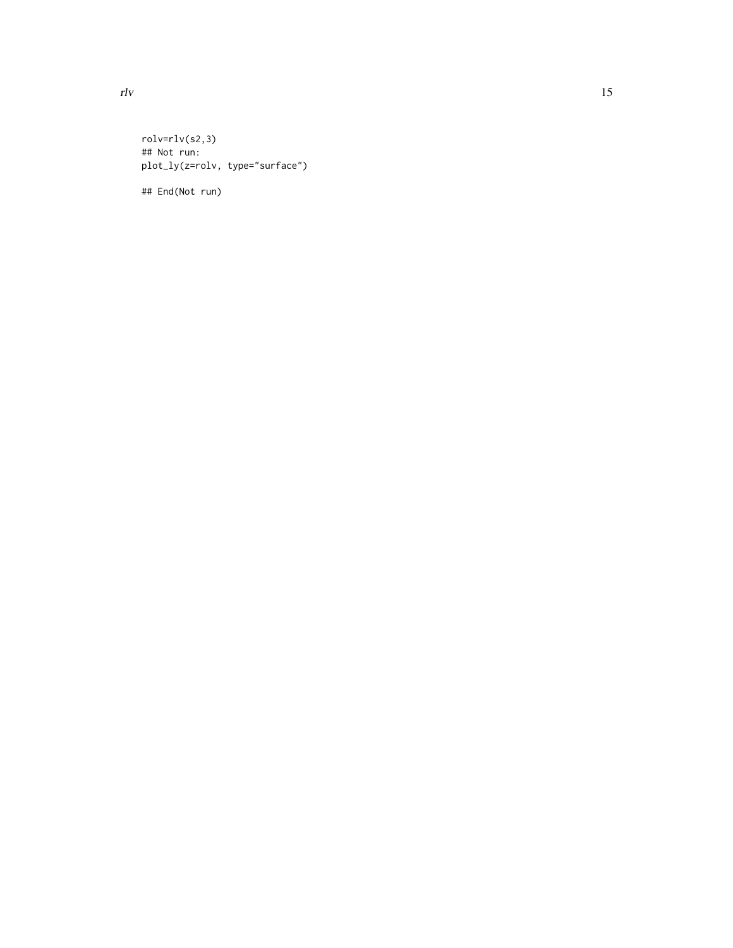rolv=rlv(s2,3) ## Not run: plot\_ly(z=rolv, type="surface")

## End(Not run)